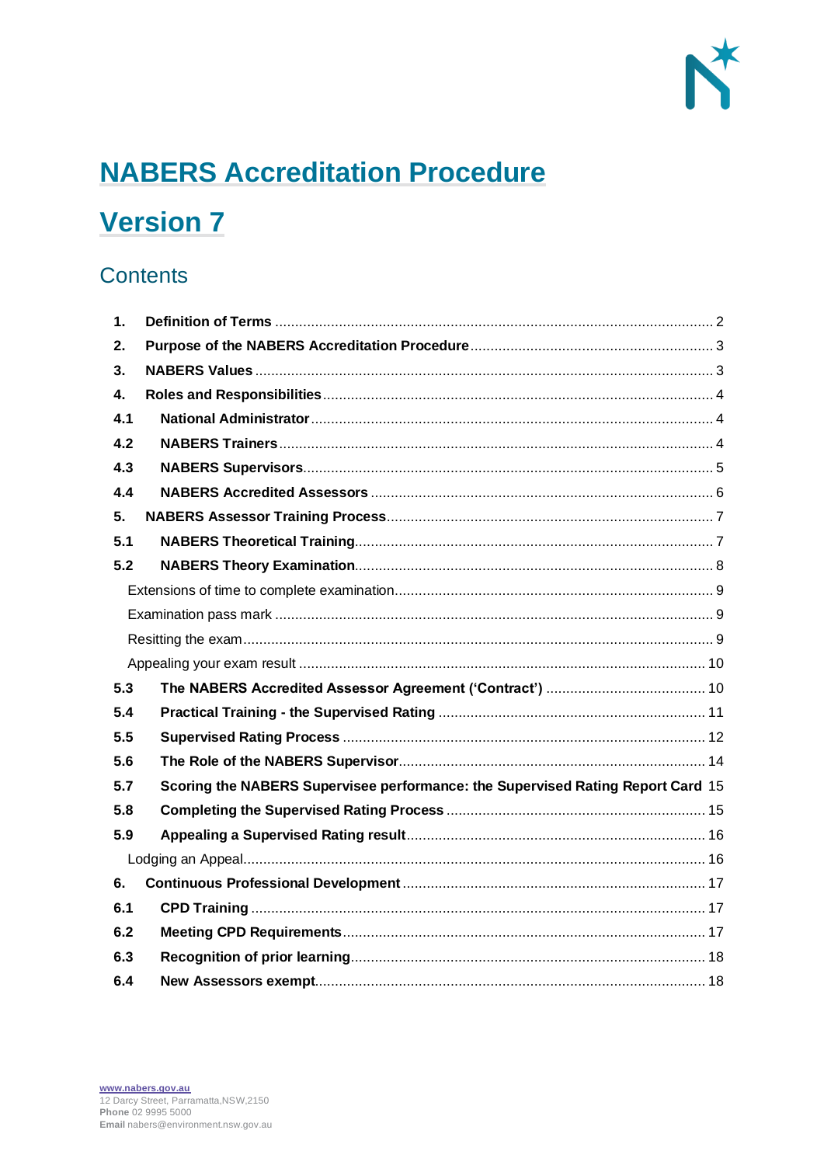

# **NABERS Accreditation Procedure**

## **Version 7**

## **Contents**

| 1.          |                                                                                 |
|-------------|---------------------------------------------------------------------------------|
| 2.          |                                                                                 |
| 3.          |                                                                                 |
| $\mathbf 4$ |                                                                                 |
| 4.1         |                                                                                 |
| 4.2         |                                                                                 |
| 4.3         |                                                                                 |
| 4.4         |                                                                                 |
| 5.          |                                                                                 |
| 5.1         |                                                                                 |
| 5.2         |                                                                                 |
|             |                                                                                 |
|             |                                                                                 |
|             |                                                                                 |
|             |                                                                                 |
| 5.3         |                                                                                 |
| 5.4         |                                                                                 |
| 5.5         |                                                                                 |
| 5.6         |                                                                                 |
| 5.7         | Scoring the NABERS Supervisee performance: the Supervised Rating Report Card 15 |
| 5.8         |                                                                                 |
| 5.9         |                                                                                 |
|             |                                                                                 |
| 6.          |                                                                                 |
| 6.1         |                                                                                 |
| 6.2         |                                                                                 |
| 6.3         |                                                                                 |
| 6.4         |                                                                                 |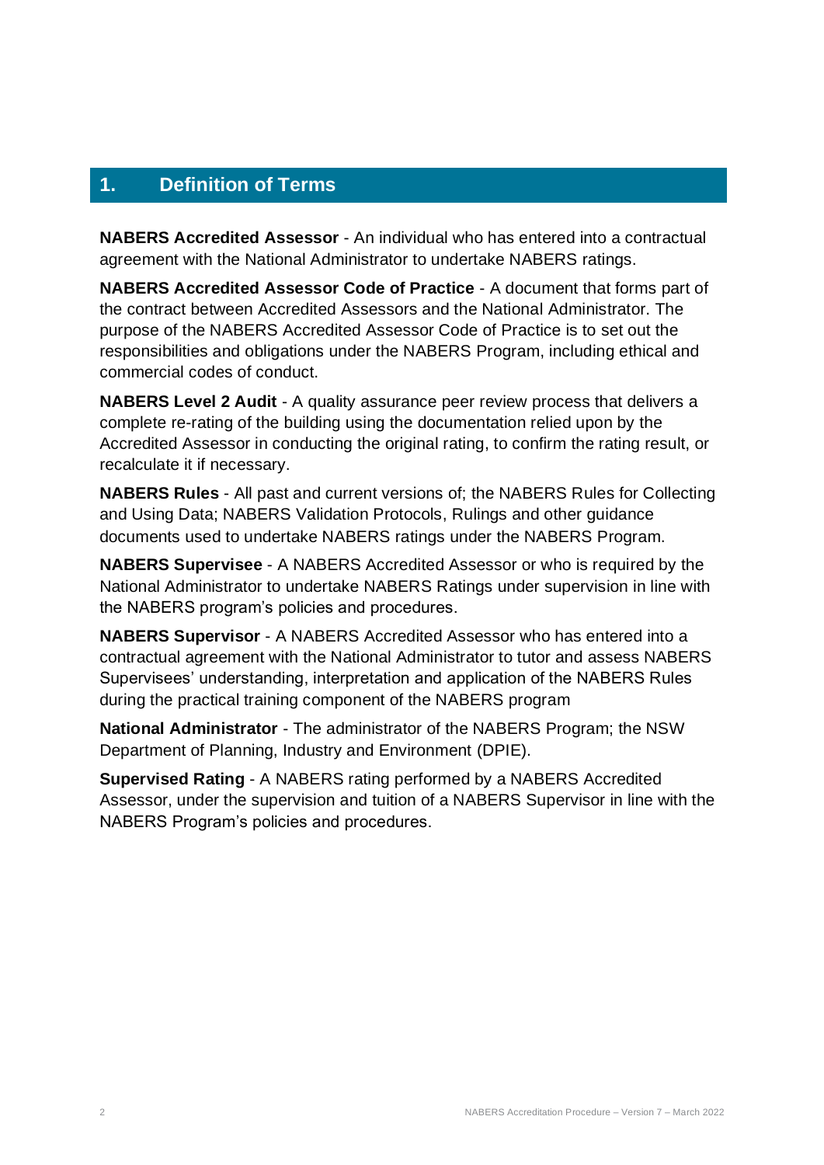## <span id="page-1-0"></span>**1. Definition of Terms**

**NABERS Accredited Assessor** - An individual who has entered into a contractual agreement with the National Administrator to undertake NABERS ratings.

**NABERS Accredited Assessor Code of Practice** - A document that forms part of the contract between Accredited Assessors and the National Administrator. The purpose of the NABERS Accredited Assessor Code of Practice is to set out the responsibilities and obligations under the NABERS Program, including ethical and commercial codes of conduct.

**NABERS Level 2 Audit** - A quality assurance peer review process that delivers a complete re-rating of the building using the documentation relied upon by the Accredited Assessor in conducting the original rating, to confirm the rating result, or recalculate it if necessary.

**NABERS Rules** - All past and current versions of; the NABERS Rules for Collecting and Using Data; NABERS Validation Protocols, Rulings and other guidance documents used to undertake NABERS ratings under the NABERS Program.

**NABERS Supervisee** - A NABERS Accredited Assessor or who is required by the National Administrator to undertake NABERS Ratings under supervision in line with the NABERS program's policies and procedures.

**NABERS Supervisor** - A NABERS Accredited Assessor who has entered into a contractual agreement with the National Administrator to tutor and assess NABERS Supervisees' understanding, interpretation and application of the NABERS Rules during the practical training component of the NABERS program

**National Administrator** - The administrator of the NABERS Program; the NSW Department of Planning, Industry and Environment (DPIE).

**Supervised Rating** - A NABERS rating performed by a NABERS Accredited Assessor, under the supervision and tuition of a NABERS Supervisor in line with the NABERS Program's policies and procedures.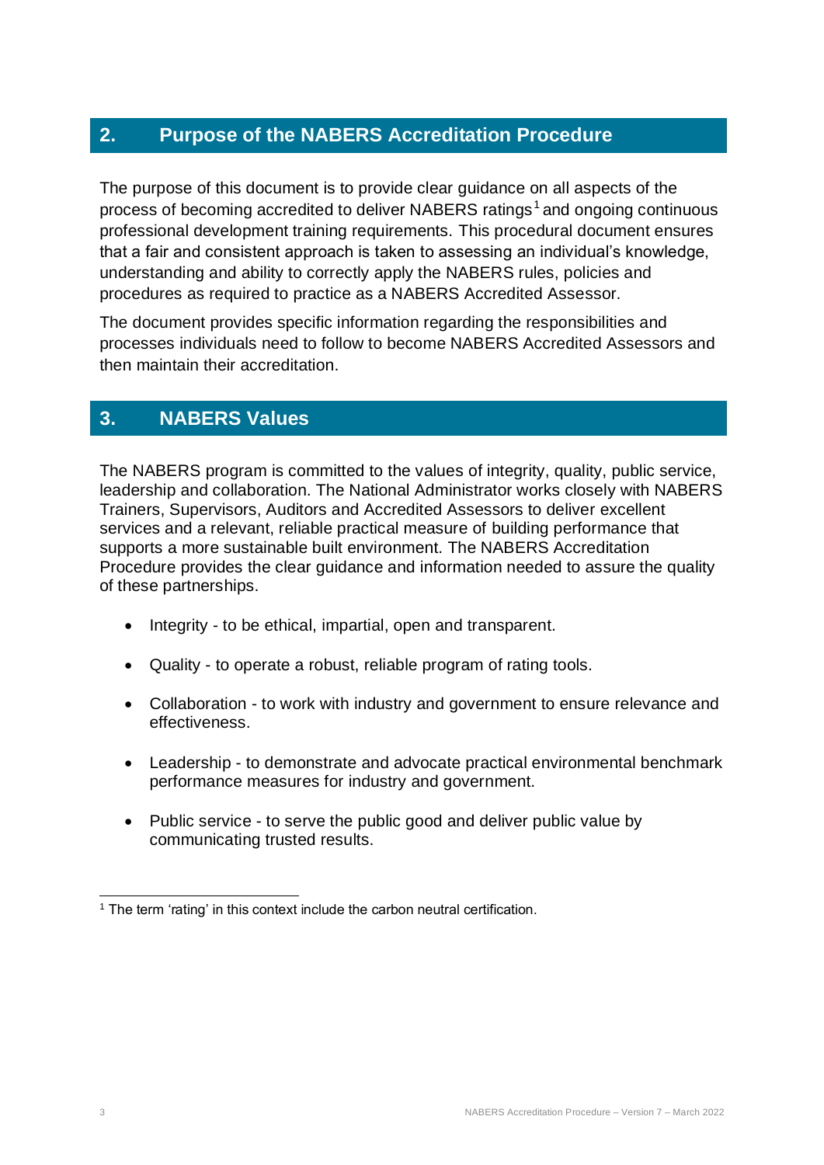## <span id="page-2-0"></span>**2. Purpose of the NABERS Accreditation Procedure**

The purpose of this document is to provide clear guidance on all aspects of the process of becoming accredited to deliver NABERS ratings<sup>1</sup> and ongoing continuous professional development training requirements. This procedural document ensures that a fair and consistent approach is taken to assessing an individual's knowledge, understanding and ability to correctly apply the NABERS rules, policies and procedures as required to practice as a NABERS Accredited Assessor.

The document provides specific information regarding the responsibilities and processes individuals need to follow to become NABERS Accredited Assessors and then maintain their accreditation.

## <span id="page-2-1"></span>**3. NABERS Values**

The NABERS program is committed to the values of integrity, quality, public service, leadership and collaboration. The National Administrator works closely with NABERS Trainers, Supervisors, Auditors and Accredited Assessors to deliver excellent services and a relevant, reliable practical measure of building performance that supports a more sustainable built environment. The NABERS Accreditation Procedure provides the clear guidance and information needed to assure the quality of these partnerships.

- Integrity to be ethical, impartial, open and transparent.
- Quality to operate a robust, reliable program of rating tools.
- Collaboration to work with industry and government to ensure relevance and effectiveness.
- Leadership to demonstrate and advocate practical environmental benchmark performance measures for industry and government.
- Public service to serve the public good and deliver public value by communicating trusted results.

<sup>&</sup>lt;sup>1</sup> The term 'rating' in this context include the carbon neutral certification.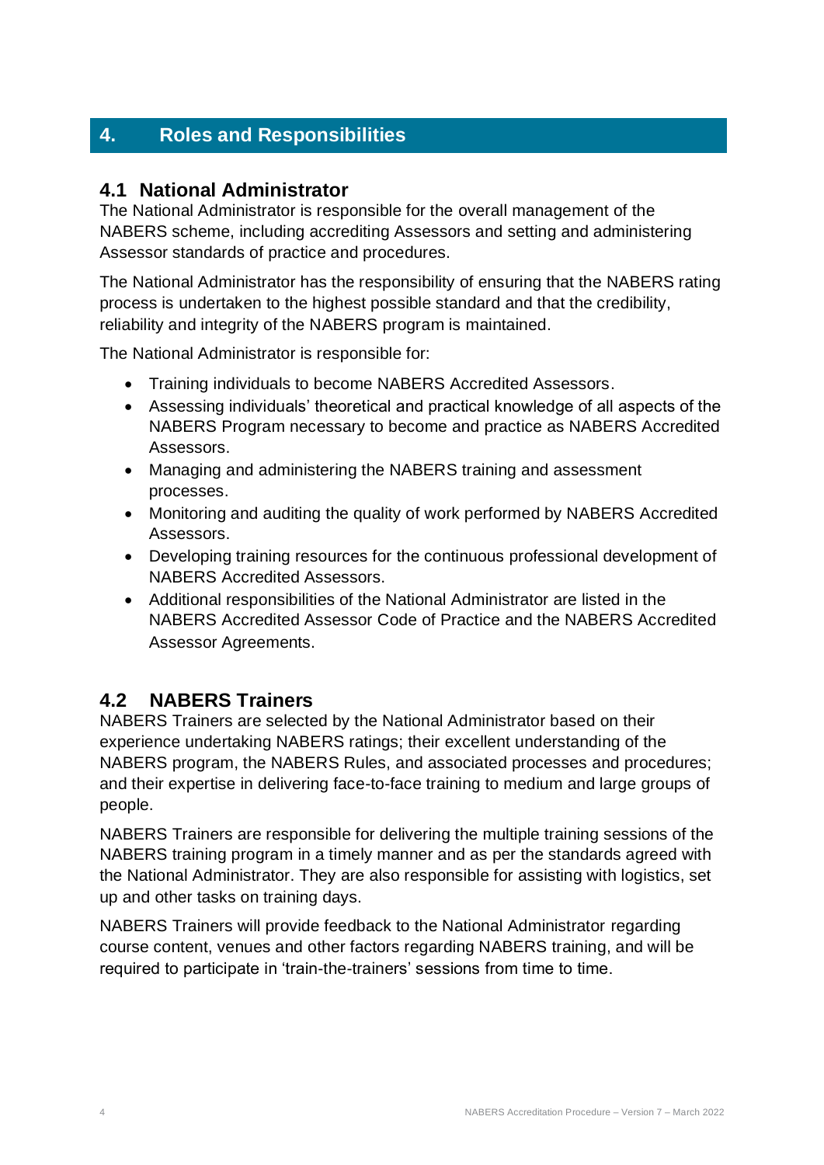## <span id="page-3-0"></span>**4. Roles and Responsibilities**

### <span id="page-3-1"></span>**4.1 National Administrator**

The National Administrator is responsible for the overall management of the NABERS scheme, including accrediting Assessors and setting and administering Assessor standards of practice and procedures.

The National Administrator has the responsibility of ensuring that the NABERS rating process is undertaken to the highest possible standard and that the credibility, reliability and integrity of the NABERS program is maintained.

The National Administrator is responsible for:

- Training individuals to become NABERS Accredited Assessors.
- Assessing individuals' theoretical and practical knowledge of all aspects of the NABERS Program necessary to become and practice as NABERS Accredited Assessors.
- Managing and administering the NABERS training and assessment processes.
- Monitoring and auditing the quality of work performed by NABERS Accredited Assessors.
- Developing training resources for the continuous professional development of NABERS Accredited Assessors.
- Additional responsibilities of the National Administrator are listed in the NABERS Accredited Assessor Code of Practice and the NABERS Accredited Assessor Agreements.

## <span id="page-3-2"></span>**4.2 NABERS Trainers**

NABERS Trainers are selected by the National Administrator based on their experience undertaking NABERS ratings; their excellent understanding of the NABERS program, the NABERS Rules, and associated processes and procedures; and their expertise in delivering face-to-face training to medium and large groups of people.

NABERS Trainers are responsible for delivering the multiple training sessions of the NABERS training program in a timely manner and as per the standards agreed with the National Administrator. They are also responsible for assisting with logistics, set up and other tasks on training days.

NABERS Trainers will provide feedback to the National Administrator regarding course content, venues and other factors regarding NABERS training, and will be required to participate in 'train-the-trainers' sessions from time to time.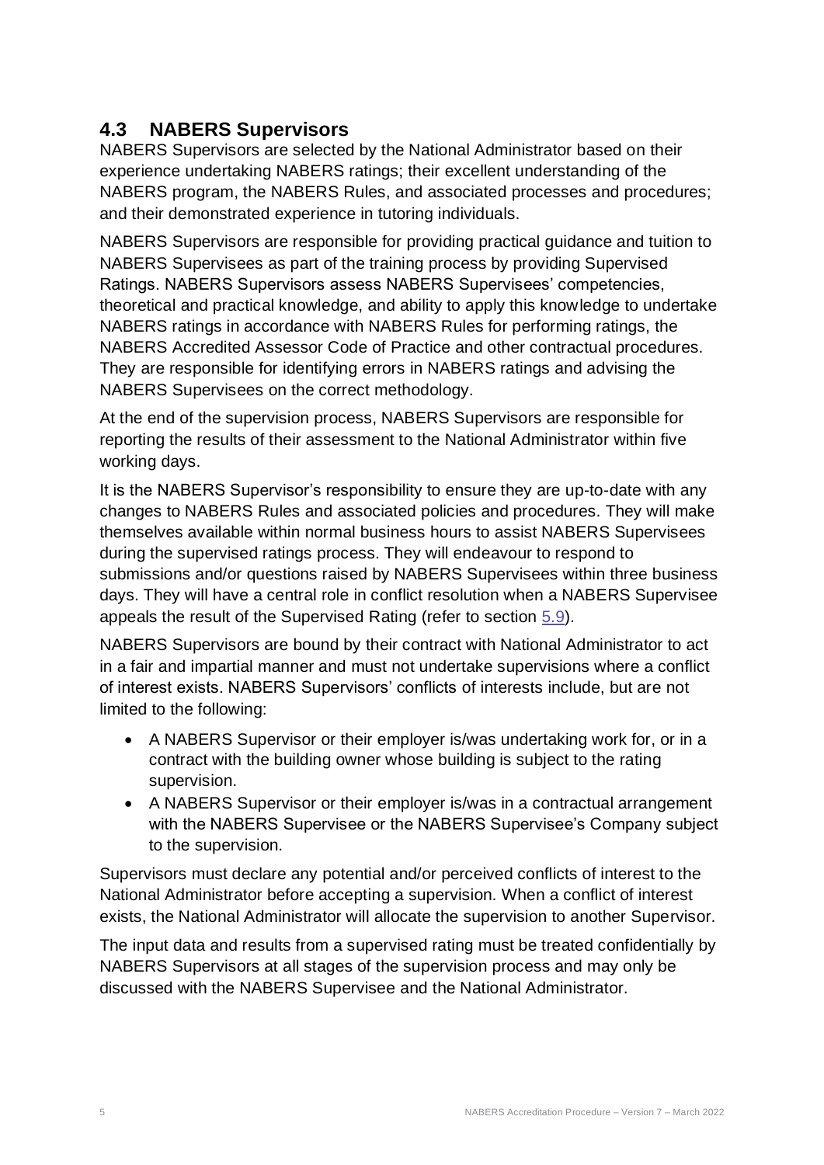## <span id="page-4-0"></span>**4.3 NABERS Supervisors**

NABERS Supervisors are selected by the National Administrator based on their experience undertaking NABERS ratings; their excellent understanding of the NABERS program, the NABERS Rules, and associated processes and procedures; and their demonstrated experience in tutoring individuals.

NABERS Supervisors are responsible for providing practical guidance and tuition to NABERS Supervisees as part of the training process by providing Supervised Ratings. NABERS Supervisors assess NABERS Supervisees' competencies, theoretical and practical knowledge, and ability to apply this knowledge to undertake NABERS ratings in accordance with NABERS Rules for performing ratings, the NABERS Accredited Assessor Code of Practice and other contractual procedures. They are responsible for identifying errors in NABERS ratings and advising the NABERS Supervisees on the correct methodology.

At the end of the supervision process, NABERS Supervisors are responsible for reporting the results of their assessment to the National Administrator within five working days.

It is the NABERS Supervisor's responsibility to ensure they are up-to-date with any changes to NABERS Rules and associated policies and procedures. They will make themselves available within normal business hours to assist NABERS Supervisees during the supervised ratings process. They will endeavour to respond to submissions and/or questions raised by NABERS Supervisees within three business days. They will have a central role in conflict resolution when a NABERS Supervisee appeals the result of the Supervised Rating (refer to section [5.9\)](#page-15-0).

NABERS Supervisors are bound by their contract with National Administrator to act in a fair and impartial manner and must not undertake supervisions where a conflict of interest exists. NABERS Supervisors' conflicts of interests include, but are not limited to the following:

- A NABERS Supervisor or their employer is/was undertaking work for, or in a contract with the building owner whose building is subject to the rating supervision.
- A NABERS Supervisor or their employer is/was in a contractual arrangement with the NABERS Supervisee or the NABERS Supervisee's Company subject to the supervision.

Supervisors must declare any potential and/or perceived conflicts of interest to the National Administrator before accepting a supervision. When a conflict of interest exists, the National Administrator will allocate the supervision to another Supervisor.

The input data and results from a supervised rating must be treated confidentially by NABERS Supervisors at all stages of the supervision process and may only be discussed with the NABERS Supervisee and the National Administrator.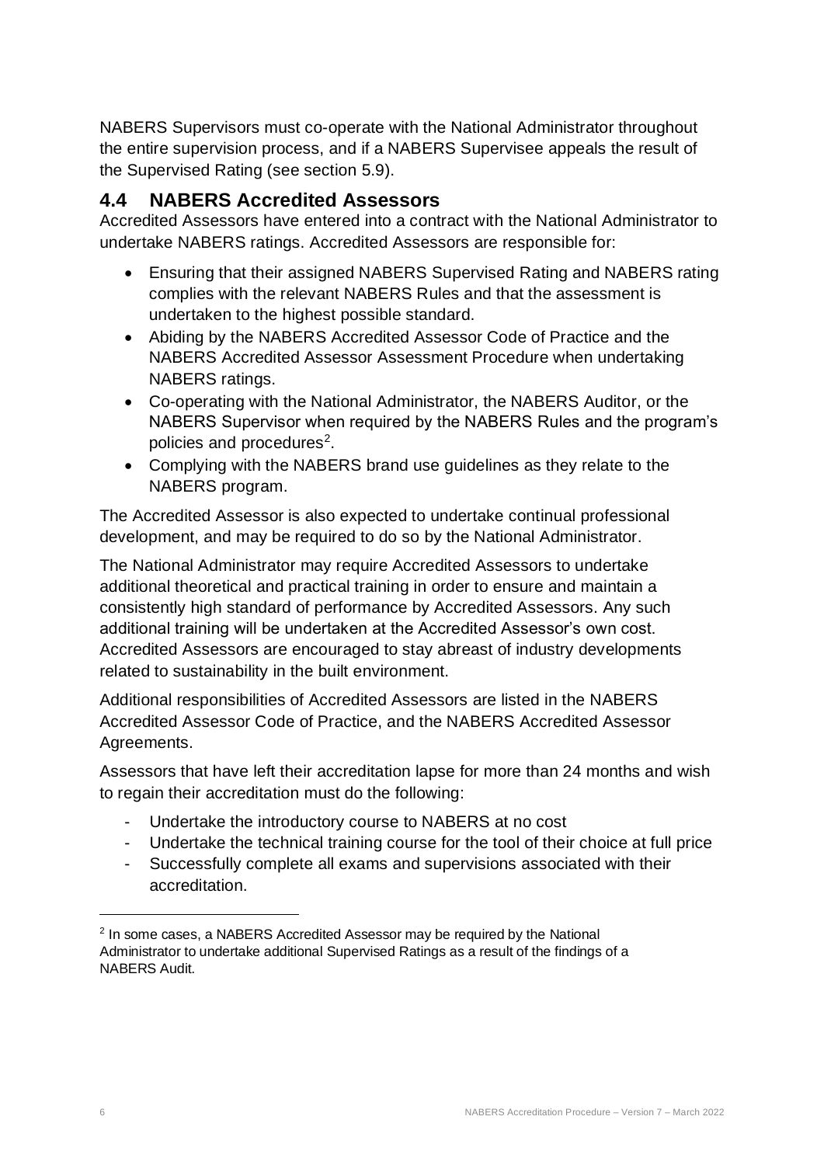NABERS Supervisors must co-operate with the National Administrator throughout the entire supervision process, and if a NABERS Supervisee appeals the result of the Supervised Rating (see section 5.9).

## <span id="page-5-0"></span>**4.4 NABERS Accredited Assessors**

Accredited Assessors have entered into a contract with the National Administrator to undertake NABERS ratings. Accredited Assessors are responsible for:

- Ensuring that their assigned NABERS Supervised Rating and NABERS rating complies with the relevant NABERS Rules and that the assessment is undertaken to the highest possible standard.
- Abiding by the NABERS Accredited Assessor Code of Practice and the NABERS Accredited Assessor Assessment Procedure when undertaking NABERS ratings.
- Co-operating with the National Administrator, the NABERS Auditor, or the NABERS Supervisor when required by the NABERS Rules and the program's policies and procedures<sup>2</sup>.
- Complying with the NABERS brand use guidelines as they relate to the NABERS program.

The Accredited Assessor is also expected to undertake continual professional development, and may be required to do so by the National Administrator.

The National Administrator may require Accredited Assessors to undertake additional theoretical and practical training in order to ensure and maintain a consistently high standard of performance by Accredited Assessors. Any such additional training will be undertaken at the Accredited Assessor's own cost. Accredited Assessors are encouraged to stay abreast of industry developments related to sustainability in the built environment.

Additional responsibilities of Accredited Assessors are listed in the NABERS Accredited Assessor Code of Practice, and the NABERS Accredited Assessor Agreements.

Assessors that have left their accreditation lapse for more than 24 months and wish to regain their accreditation must do the following:

- Undertake the introductory course to NABERS at no cost
- Undertake the technical training course for the tool of their choice at full price
- Successfully complete all exams and supervisions associated with their accreditation.

<sup>&</sup>lt;sup>2</sup> In some cases, a NABERS Accredited Assessor may be required by the National Administrator to undertake additional Supervised Ratings as a result of the findings of a NABERS Audit.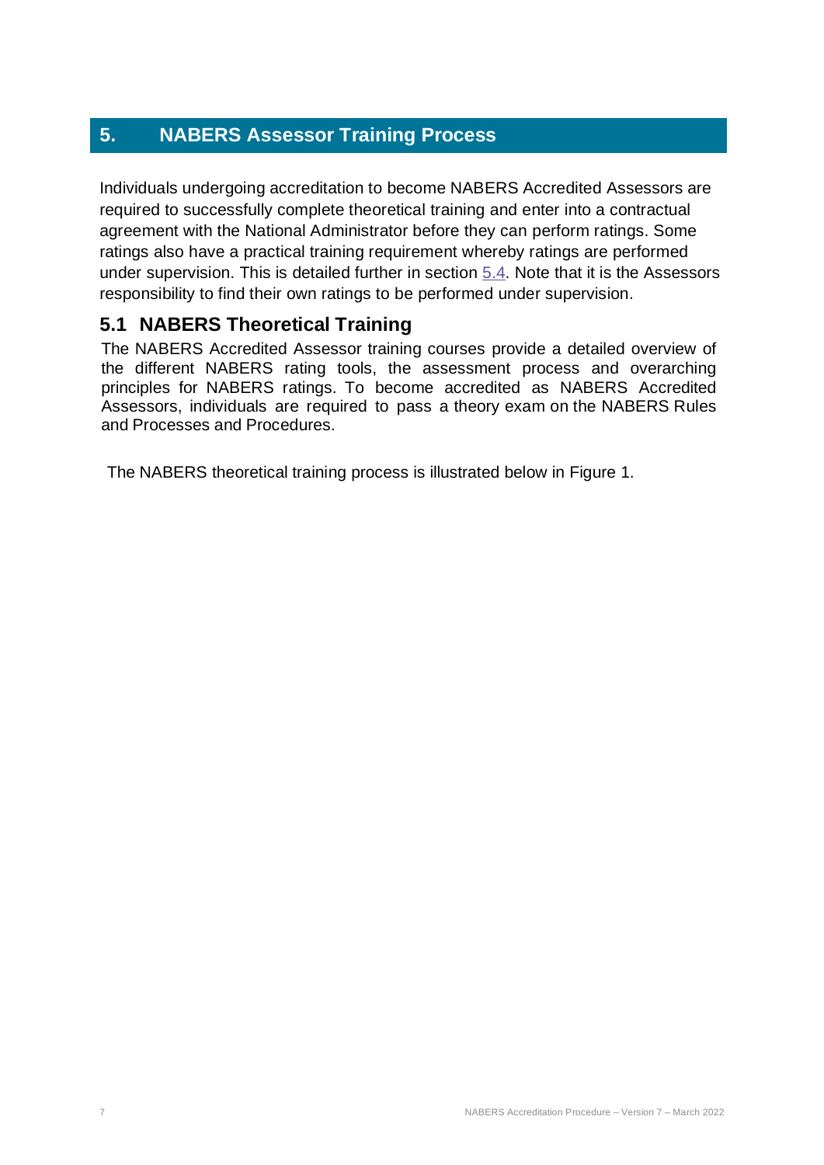## <span id="page-6-0"></span>**5. NABERS Assessor Training Process**

Individuals undergoing accreditation to become NABERS Accredited Assessors are required to successfully complete theoretical training and enter into a contractual agreement with the National Administrator before they can perform ratings. Some ratings also have a practical training requirement whereby ratings are performed under supervision. This is detailed further in section [5.4.](#page-10-0) Note that it is the Assessors responsibility to find their own ratings to be performed under supervision.

## <span id="page-6-1"></span>**5.1 NABERS Theoretical Training**

The NABERS Accredited Assessor training courses provide a detailed overview of the different NABERS rating tools, the assessment process and overarching principles for NABERS ratings. To become accredited as NABERS Accredited Assessors, individuals are required to pass a theory exam on the NABERS Rules and Processes and Procedures.

The NABERS theoretical training process is illustrated below in Figure 1.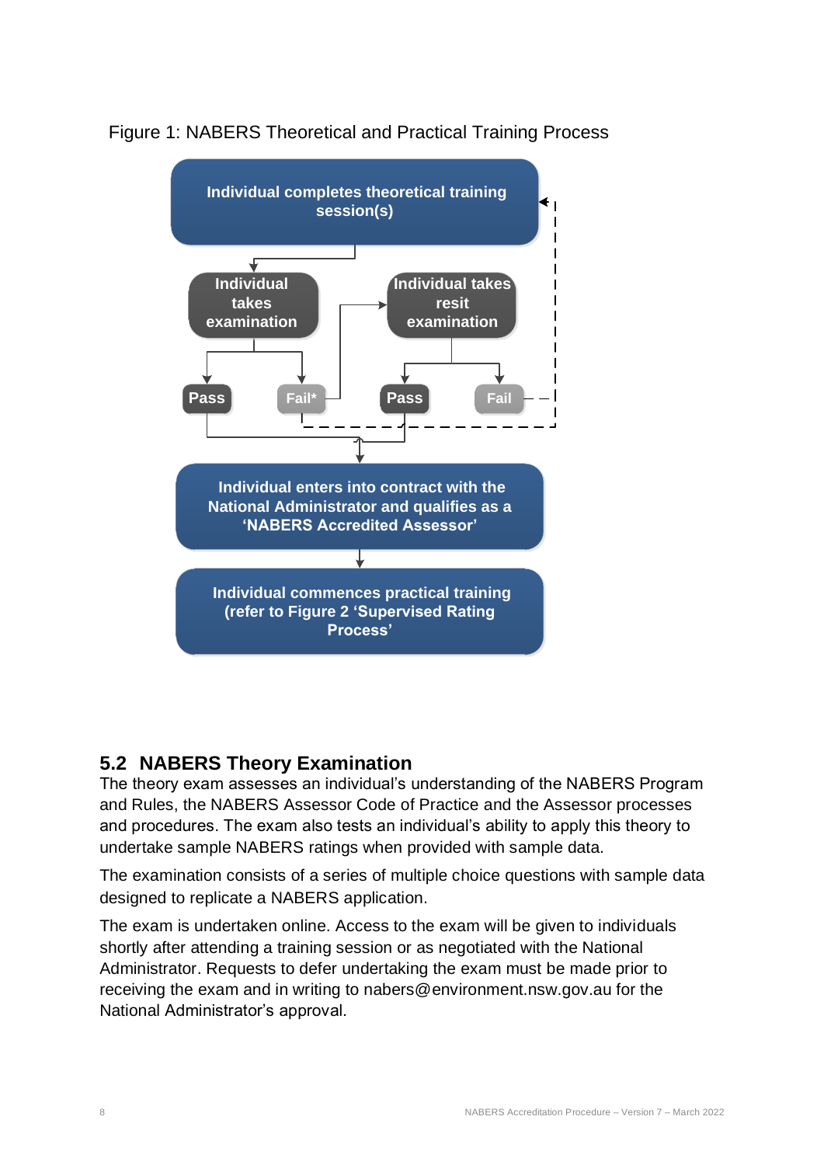

Figure 1: NABERS Theoretical and Practical Training Process

## <span id="page-7-0"></span>**5.2 NABERS Theory Examination**

The theory exam assesses an individual's understanding of the NABERS Program and Rules, the NABERS Assessor Code of Practice and the Assessor processes and procedures. The exam also tests an individual's ability to apply this theory to undertake sample NABERS ratings when provided with sample data.

The examination consists of a series of multiple choice questions with sample data designed to replicate a NABERS application.

The exam is undertaken online. Access to the exam will be given to individuals shortly after attending a training session or as negotiated with the National Administrator. Requests to defer undertaking the exam must be made prior to receiving the exam and in writing to nabers@environment.nsw.gov.au for the National Administrator's approval.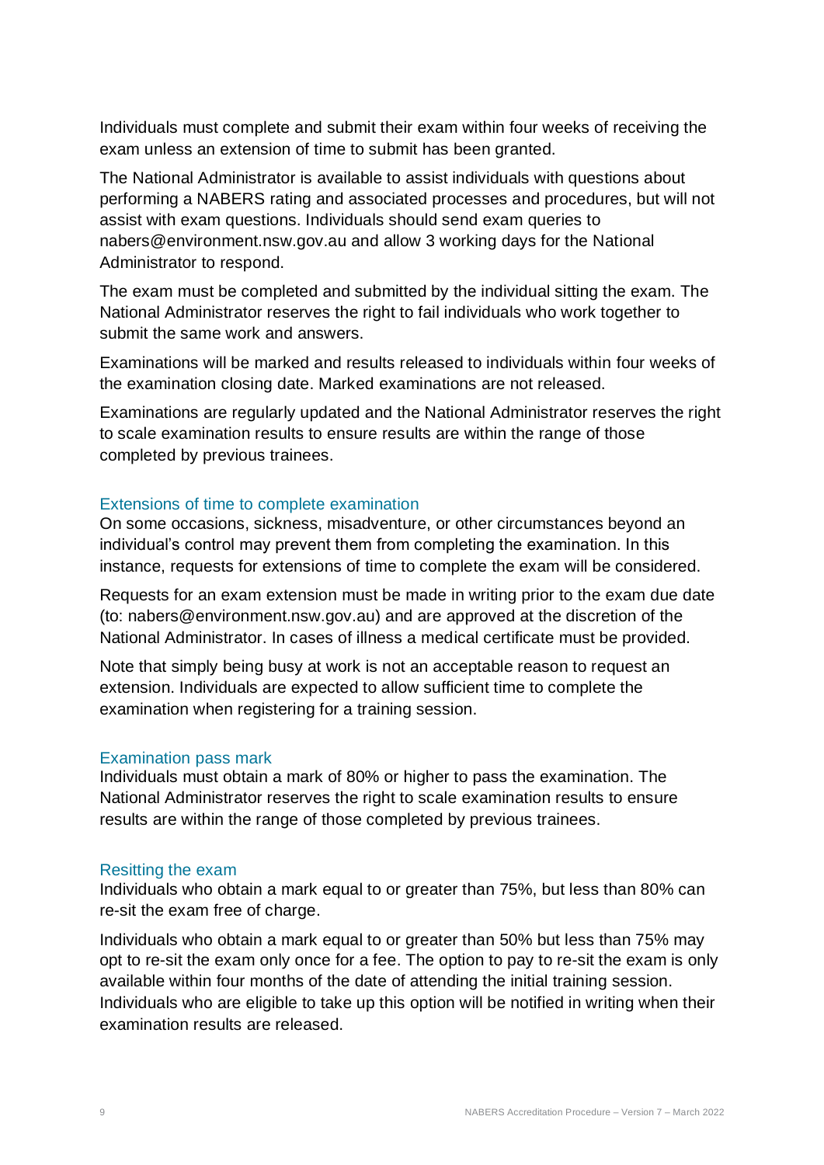Individuals must complete and submit their exam within four weeks of receiving the exam unless an extension of time to submit has been granted.

The National Administrator is available to assist individuals with questions about performing a NABERS rating and associated processes and procedures, but will not assist with exam questions. Individuals should send exam queries to nabers@environment.nsw.gov.au and allow 3 working days for the National Administrator to respond.

The exam must be completed and submitted by the individual sitting the exam. The National Administrator reserves the right to fail individuals who work together to submit the same work and answers.

Examinations will be marked and results released to individuals within four weeks of the examination closing date. Marked examinations are not released.

Examinations are regularly updated and the National Administrator reserves the right to scale examination results to ensure results are within the range of those completed by previous trainees.

#### <span id="page-8-0"></span>Extensions of time to complete examination

On some occasions, sickness, misadventure, or other circumstances beyond an individual's control may prevent them from completing the examination. In this instance, requests for extensions of time to complete the exam will be considered.

Requests for an exam extension must be made in writing prior to the exam due date (to: nabers@environment.nsw.gov.au) and are approved at the discretion of the National Administrator. In cases of illness a medical certificate must be provided.

Note that simply being busy at work is not an acceptable reason to request an extension. Individuals are expected to allow sufficient time to complete the examination when registering for a training session.

#### <span id="page-8-1"></span>Examination pass mark

Individuals must obtain a mark of 80% or higher to pass the examination. The National Administrator reserves the right to scale examination results to ensure results are within the range of those completed by previous trainees.

#### <span id="page-8-2"></span>Resitting the exam

Individuals who obtain a mark equal to or greater than 75%, but less than 80% can re-sit the exam free of charge.

Individuals who obtain a mark equal to or greater than 50% but less than 75% may opt to re-sit the exam only once for a fee. The option to pay to re-sit the exam is only available within four months of the date of attending the initial training session. Individuals who are eligible to take up this option will be notified in writing when their examination results are released.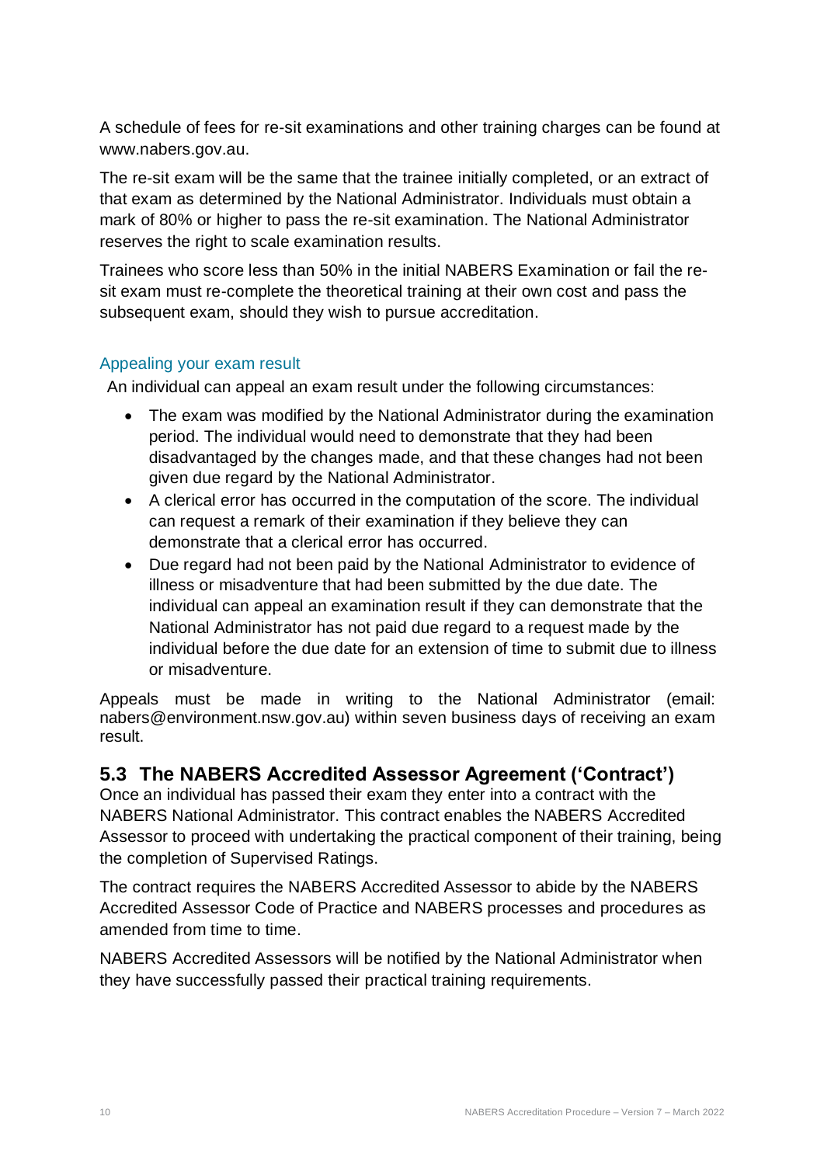A schedule of fees for re-sit examinations and other training charges can be found at [www.nabers.gov.au.](http://www.nabers.gov.au/)

The re-sit exam will be the same that the trainee initially completed, or an extract of that exam as determined by the National Administrator. Individuals must obtain a mark of 80% or higher to pass the re-sit examination. The National Administrator reserves the right to scale examination results.

Trainees who score less than 50% in the initial NABERS Examination or fail the resit exam must re-complete the theoretical training at their own cost and pass the subsequent exam, should they wish to pursue accreditation.

#### <span id="page-9-0"></span>Appealing your exam result

An individual can appeal an exam result under the following circumstances:

- The exam was modified by the National Administrator during the examination period. The individual would need to demonstrate that they had been disadvantaged by the changes made, and that these changes had not been given due regard by the National Administrator.
- A clerical error has occurred in the computation of the score. The individual can request a remark of their examination if they believe they can demonstrate that a clerical error has occurred.
- Due regard had not been paid by the National Administrator to evidence of illness or misadventure that had been submitted by the due date. The individual can appeal an examination result if they can demonstrate that the National Administrator has not paid due regard to a request made by the individual before the due date for an extension of time to submit due to illness or misadventure.

Appeals must be made in writing to the National Administrator (email: nabers@environment.nsw.gov.au) within seven business days of receiving an exam result.

### <span id="page-9-1"></span>**5.3 The NABERS Accredited Assessor Agreement ('Contract')**

Once an individual has passed their exam they enter into a contract with the NABERS National Administrator. This contract enables the NABERS Accredited Assessor to proceed with undertaking the practical component of their training, being the completion of Supervised Ratings.

The contract requires the NABERS Accredited Assessor to abide by the NABERS Accredited Assessor Code of Practice and NABERS processes and procedures as amended from time to time.

NABERS Accredited Assessors will be notified by the National Administrator when they have successfully passed their practical training requirements.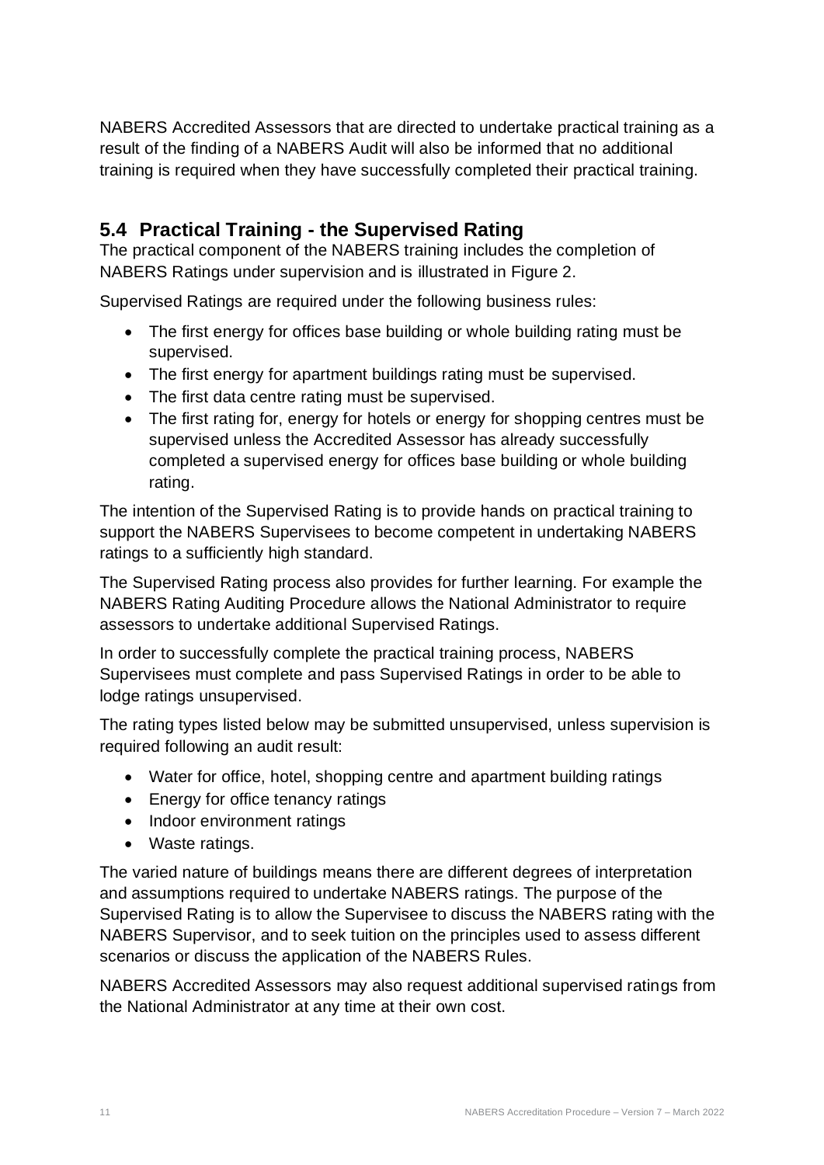NABERS Accredited Assessors that are directed to undertake practical training as a result of the finding of a NABERS Audit will also be informed that no additional training is required when they have successfully completed their practical training.

## <span id="page-10-0"></span>**5.4 Practical Training - the Supervised Rating**

The practical component of the NABERS training includes the completion of NABERS Ratings under supervision and is illustrated in Figure 2.

Supervised Ratings are required under the following business rules:

- The first energy for offices base building or whole building rating must be supervised.
- The first energy for apartment buildings rating must be supervised.
- The first data centre rating must be supervised.
- The first rating for, energy for hotels or energy for shopping centres must be supervised unless the Accredited Assessor has already successfully completed a supervised energy for offices base building or whole building rating.

The intention of the Supervised Rating is to provide hands on practical training to support the NABERS Supervisees to become competent in undertaking NABERS ratings to a sufficiently high standard.

The Supervised Rating process also provides for further learning. For example the NABERS Rating Auditing Procedure allows the National Administrator to require assessors to undertake additional Supervised Ratings.

In order to successfully complete the practical training process, NABERS Supervisees must complete and pass Supervised Ratings in order to be able to lodge ratings unsupervised.

The rating types listed below may be submitted unsupervised, unless supervision is required following an audit result:

- Water for office, hotel, shopping centre and apartment building ratings
- Energy for office tenancy ratings
- Indoor environment ratings
- Waste ratings.

The varied nature of buildings means there are different degrees of interpretation and assumptions required to undertake NABERS ratings. The purpose of the Supervised Rating is to allow the Supervisee to discuss the NABERS rating with the NABERS Supervisor, and to seek tuition on the principles used to assess different scenarios or discuss the application of the NABERS Rules.

NABERS Accredited Assessors may also request additional supervised ratings from the National Administrator at any time at their own cost.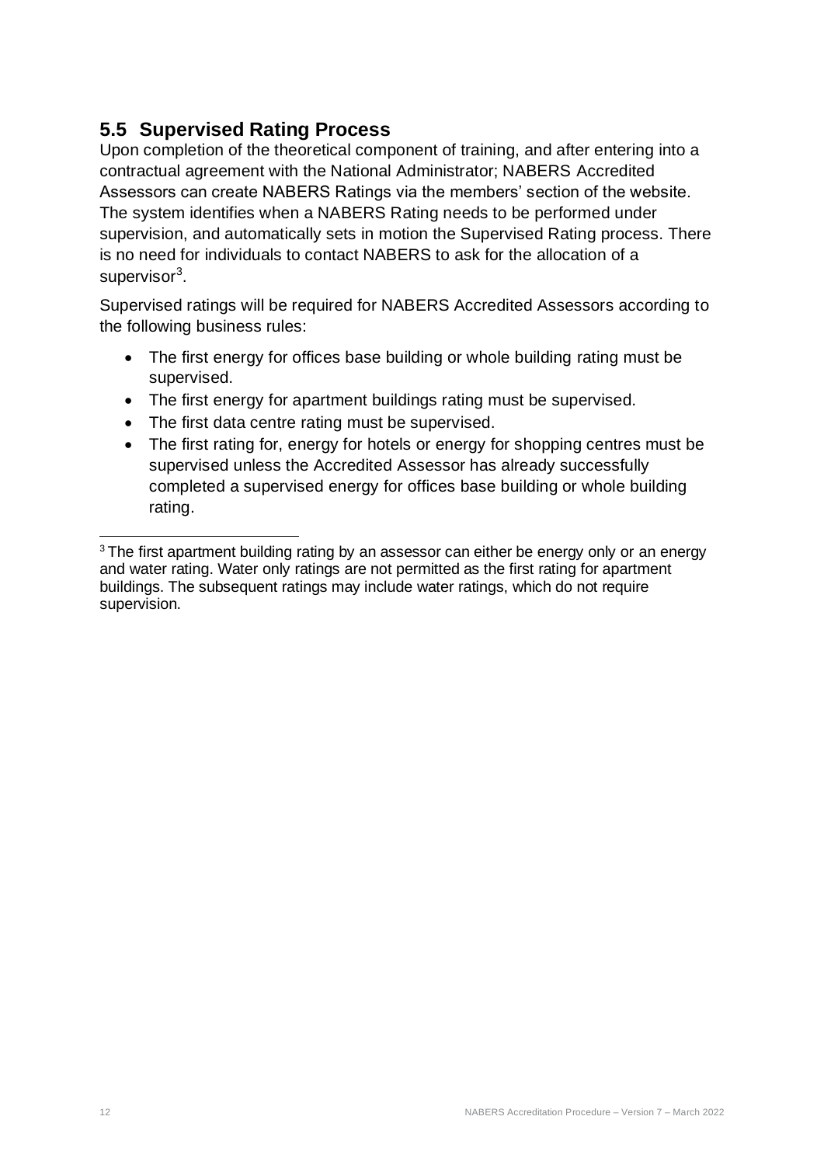## <span id="page-11-0"></span>**5.5 Supervised Rating Process**

Upon completion of the theoretical component of training, and after entering into a contractual agreement with the National Administrator; NABERS Accredited Assessors can create NABERS Ratings via the members' section of the website. The system identifies when a NABERS Rating needs to be performed under supervision, and automatically sets in motion the Supervised Rating process. There is no need for individuals to contact NABERS to ask for the allocation of a supervisor<sup>3</sup>.

Supervised ratings will be required for NABERS Accredited Assessors according to the following business rules:

- The first energy for offices base building or whole building rating must be supervised.
- The first energy for apartment buildings rating must be supervised.
- The first data centre rating must be supervised.
- The first rating for, energy for hotels or energy for shopping centres must be supervised unless the Accredited Assessor has already successfully completed a supervised energy for offices base building or whole building rating.

<sup>&</sup>lt;sup>3</sup> The first apartment building rating by an assessor can either be energy only or an energy and water rating. Water only ratings are not permitted as the first rating for apartment buildings. The subsequent ratings may include water ratings, which do not require supervision.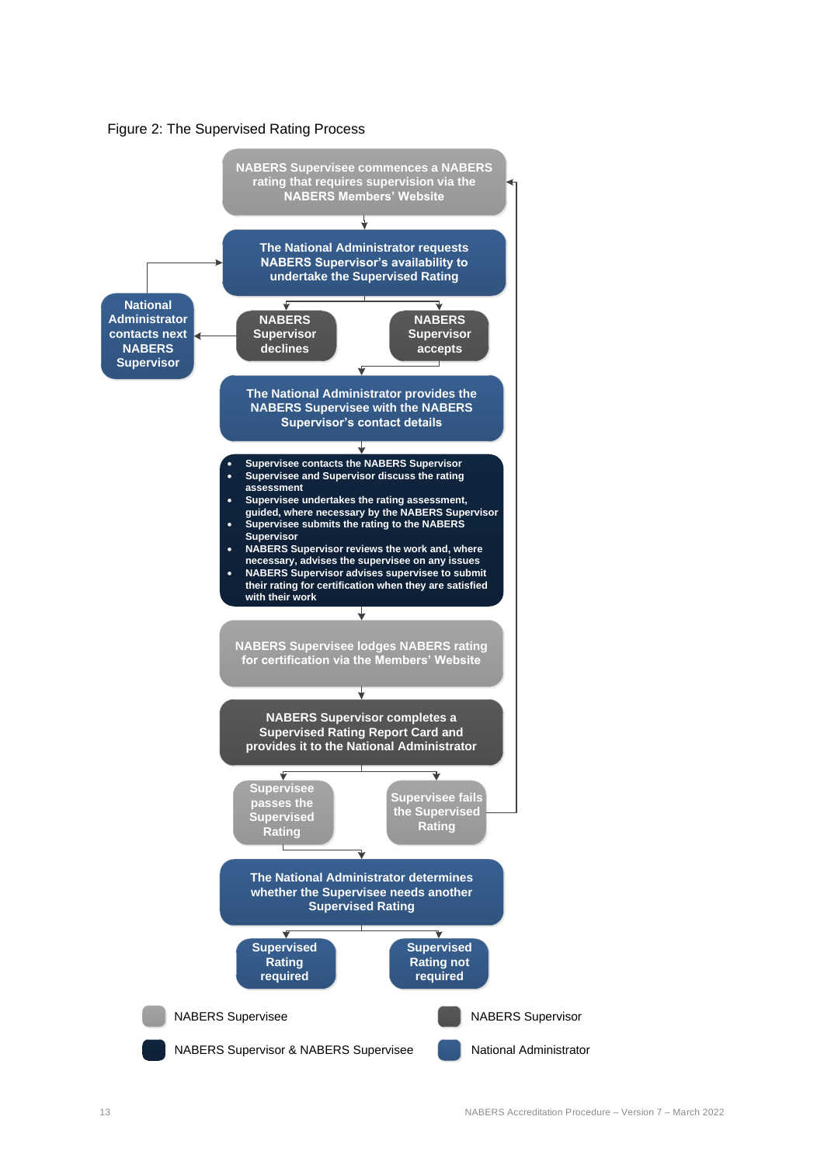

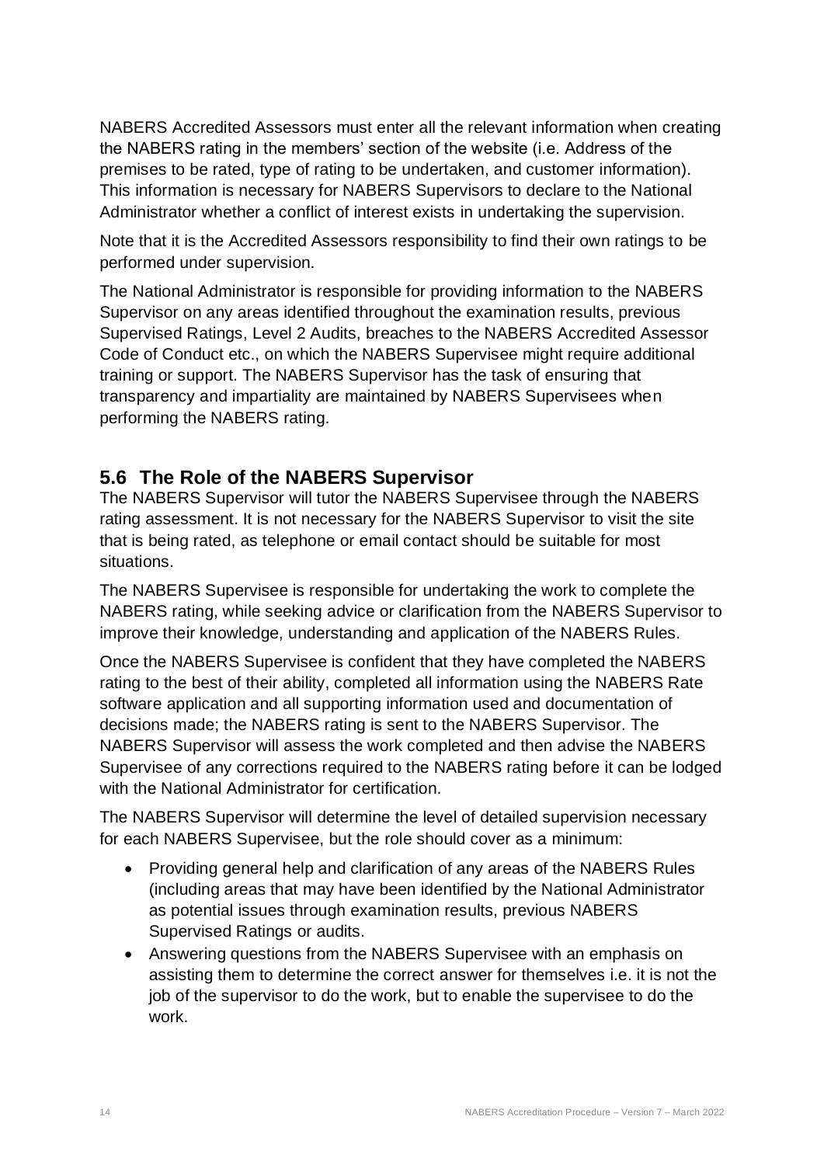NABERS Accredited Assessors must enter all the relevant information when creating the NABERS rating in the members' section of the website (i.e. Address of the premises to be rated, type of rating to be undertaken, and customer information). This information is necessary for NABERS Supervisors to declare to the National Administrator whether a conflict of interest exists in undertaking the supervision.

Note that it is the Accredited Assessors responsibility to find their own ratings to be performed under supervision.

The National Administrator is responsible for providing information to the NABERS Supervisor on any areas identified throughout the examination results, previous Supervised Ratings, Level 2 Audits, breaches to the NABERS Accredited Assessor Code of Conduct etc., on which the NABERS Supervisee might require additional training or support. The NABERS Supervisor has the task of ensuring that transparency and impartiality are maintained by NABERS Supervisees when performing the NABERS rating.

## <span id="page-13-0"></span>**5.6 The Role of the NABERS Supervisor**

The NABERS Supervisor will tutor the NABERS Supervisee through the NABERS rating assessment. It is not necessary for the NABERS Supervisor to visit the site that is being rated, as telephone or email contact should be suitable for most situations.

The NABERS Supervisee is responsible for undertaking the work to complete the NABERS rating, while seeking advice or clarification from the NABERS Supervisor to improve their knowledge, understanding and application of the NABERS Rules.

Once the NABERS Supervisee is confident that they have completed the NABERS rating to the best of their ability, completed all information using the NABERS Rate software application and all supporting information used and documentation of decisions made; the NABERS rating is sent to the NABERS Supervisor. The NABERS Supervisor will assess the work completed and then advise the NABERS Supervisee of any corrections required to the NABERS rating before it can be lodged with the National Administrator for certification.

The NABERS Supervisor will determine the level of detailed supervision necessary for each NABERS Supervisee, but the role should cover as a minimum:

- Providing general help and clarification of any areas of the NABERS Rules (including areas that may have been identified by the National Administrator as potential issues through examination results, previous NABERS Supervised Ratings or audits.
- Answering questions from the NABERS Supervisee with an emphasis on assisting them to determine the correct answer for themselves i.e. it is not the job of the supervisor to do the work, but to enable the supervisee to do the work.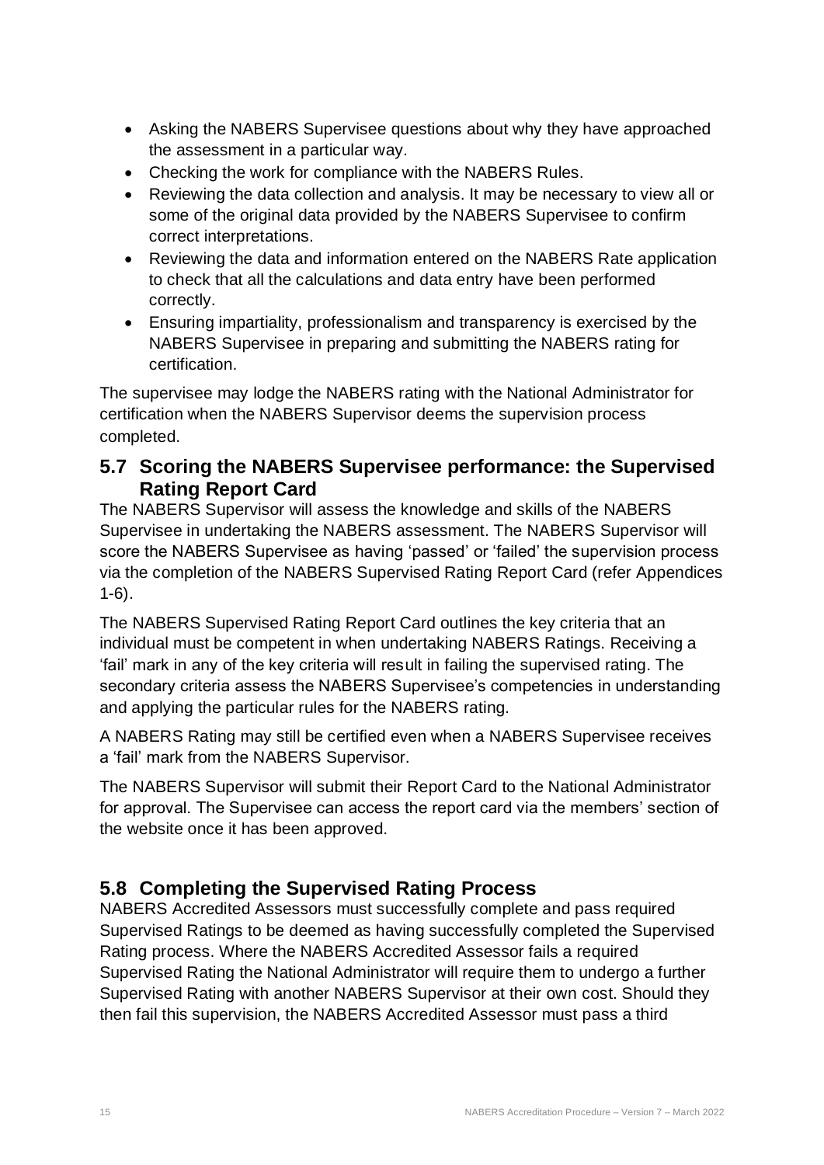- Asking the NABERS Supervisee questions about why they have approached the assessment in a particular way.
- Checking the work for compliance with the NABERS Rules.
- Reviewing the data collection and analysis. It may be necessary to view all or some of the original data provided by the NABERS Supervisee to confirm correct interpretations.
- Reviewing the data and information entered on the NABERS Rate application to check that all the calculations and data entry have been performed correctly.
- Ensuring impartiality, professionalism and transparency is exercised by the NABERS Supervisee in preparing and submitting the NABERS rating for certification.

The supervisee may lodge the NABERS rating with the National Administrator for certification when the NABERS Supervisor deems the supervision process completed.

## <span id="page-14-0"></span>**5.7 Scoring the NABERS Supervisee performance: the Supervised Rating Report Card**

The NABERS Supervisor will assess the knowledge and skills of the NABERS Supervisee in undertaking the NABERS assessment. The NABERS Supervisor will score the NABERS Supervisee as having 'passed' or 'failed' the supervision process via the completion of the NABERS Supervised Rating Report Card (refer Appendices 1-6).

The NABERS Supervised Rating Report Card outlines the key criteria that an individual must be competent in when undertaking NABERS Ratings. Receiving a 'fail' mark in any of the key criteria will result in failing the supervised rating. The secondary criteria assess the NABERS Supervisee's competencies in understanding and applying the particular rules for the NABERS rating.

A NABERS Rating may still be certified even when a NABERS Supervisee receives a 'fail' mark from the NABERS Supervisor.

The NABERS Supervisor will submit their Report Card to the National Administrator for approval. The Supervisee can access the report card via the members' section of the website once it has been approved.

## <span id="page-14-1"></span>**5.8 Completing the Supervised Rating Process**

NABERS Accredited Assessors must successfully complete and pass required Supervised Ratings to be deemed as having successfully completed the Supervised Rating process. Where the NABERS Accredited Assessor fails a required Supervised Rating the National Administrator will require them to undergo a further Supervised Rating with another NABERS Supervisor at their own cost. Should they then fail this supervision, the NABERS Accredited Assessor must pass a third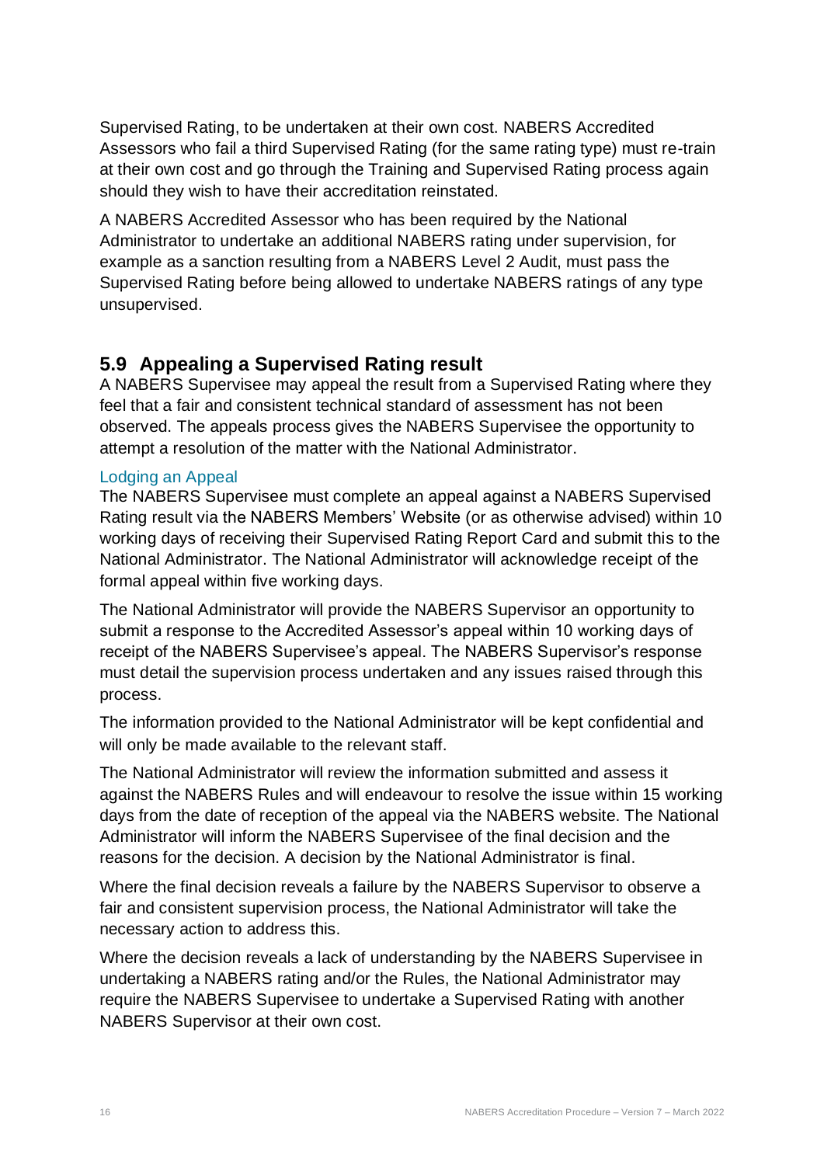Supervised Rating, to be undertaken at their own cost. NABERS Accredited Assessors who fail a third Supervised Rating (for the same rating type) must re-train at their own cost and go through the Training and Supervised Rating process again should they wish to have their accreditation reinstated.

A NABERS Accredited Assessor who has been required by the National Administrator to undertake an additional NABERS rating under supervision, for example as a sanction resulting from a NABERS Level 2 Audit, must pass the Supervised Rating before being allowed to undertake NABERS ratings of any type unsupervised.

## <span id="page-15-0"></span>**5.9 Appealing a Supervised Rating result**

A NABERS Supervisee may appeal the result from a Supervised Rating where they feel that a fair and consistent technical standard of assessment has not been observed. The appeals process gives the NABERS Supervisee the opportunity to attempt a resolution of the matter with the National Administrator.

#### <span id="page-15-1"></span>Lodging an Appeal

The NABERS Supervisee must complete an appeal against a NABERS Supervised Rating result via the NABERS Members' Website (or as otherwise advised) within 10 working days of receiving their Supervised Rating Report Card and submit this to the National Administrator. The National Administrator will acknowledge receipt of the formal appeal within five working days.

The National Administrator will provide the NABERS Supervisor an opportunity to submit a response to the Accredited Assessor's appeal within 10 working days of receipt of the NABERS Supervisee's appeal. The NABERS Supervisor's response must detail the supervision process undertaken and any issues raised through this process.

The information provided to the National Administrator will be kept confidential and will only be made available to the relevant staff.

The National Administrator will review the information submitted and assess it against the NABERS Rules and will endeavour to resolve the issue within 15 working days from the date of reception of the appeal via the NABERS website. The National Administrator will inform the NABERS Supervisee of the final decision and the reasons for the decision. A decision by the National Administrator is final.

Where the final decision reveals a failure by the NABERS Supervisor to observe a fair and consistent supervision process, the National Administrator will take the necessary action to address this.

Where the decision reveals a lack of understanding by the NABERS Supervisee in undertaking a NABERS rating and/or the Rules, the National Administrator may require the NABERS Supervisee to undertake a Supervised Rating with another NABERS Supervisor at their own cost.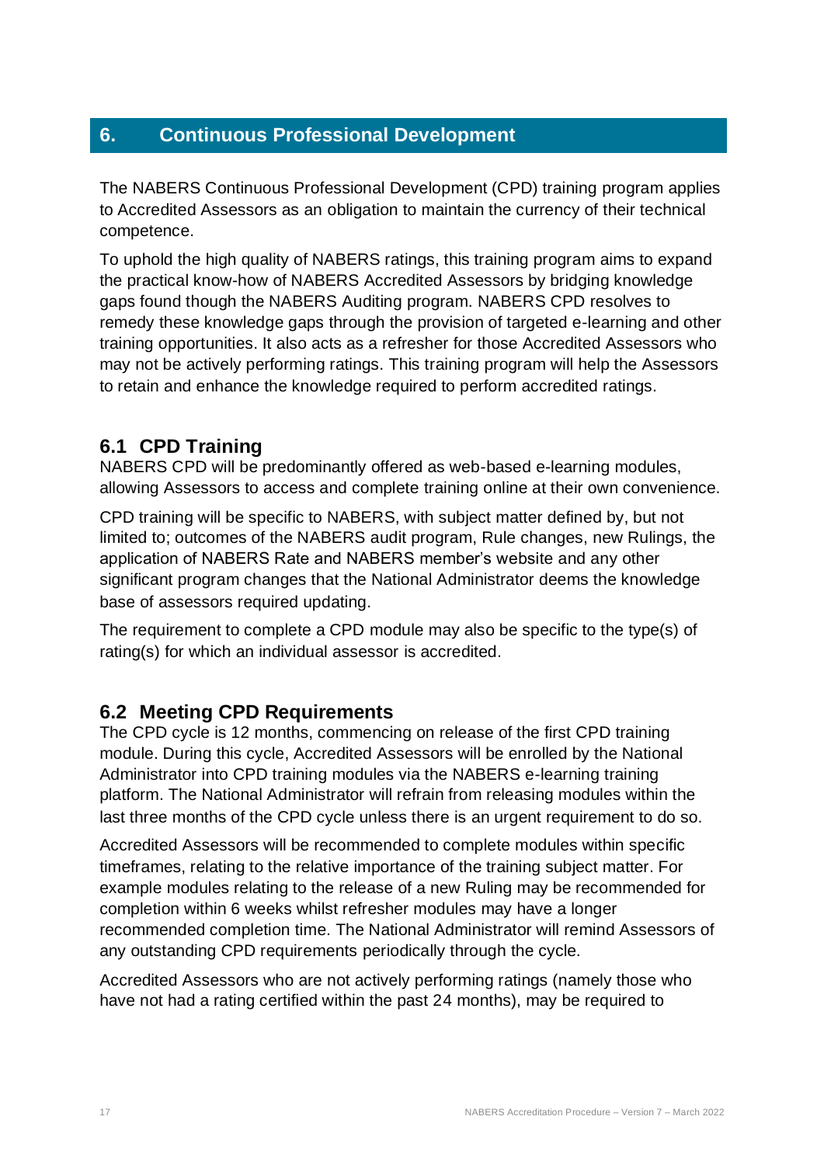## <span id="page-16-0"></span>**6. Continuous Professional Development**

The NABERS Continuous Professional Development (CPD) training program applies to Accredited Assessors as an obligation to maintain the currency of their technical competence.

To uphold the high quality of NABERS ratings, this training program aims to expand the practical know-how of NABERS Accredited Assessors by bridging knowledge gaps found though the NABERS Auditing program. NABERS CPD resolves to remedy these knowledge gaps through the provision of targeted e-learning and other training opportunities. It also acts as a refresher for those Accredited Assessors who may not be actively performing ratings. This training program will help the Assessors to retain and enhance the knowledge required to perform accredited ratings.

## <span id="page-16-1"></span>**6.1 CPD Training**

NABERS CPD will be predominantly offered as web-based e-learning modules, allowing Assessors to access and complete training online at their own convenience.

CPD training will be specific to NABERS, with subject matter defined by, but not limited to; outcomes of the NABERS audit program, Rule changes, new Rulings, the application of NABERS Rate and NABERS member's website and any other significant program changes that the National Administrator deems the knowledge base of assessors required updating.

The requirement to complete a CPD module may also be specific to the type(s) of rating(s) for which an individual assessor is accredited.

## <span id="page-16-2"></span>**6.2 Meeting CPD Requirements**

The CPD cycle is 12 months, commencing on release of the first CPD training module. During this cycle, Accredited Assessors will be enrolled by the National Administrator into CPD training modules via the NABERS e-learning training platform. The National Administrator will refrain from releasing modules within the last three months of the CPD cycle unless there is an urgent requirement to do so.

Accredited Assessors will be recommended to complete modules within specific timeframes, relating to the relative importance of the training subject matter. For example modules relating to the release of a new Ruling may be recommended for completion within 6 weeks whilst refresher modules may have a longer recommended completion time. The National Administrator will remind Assessors of any outstanding CPD requirements periodically through the cycle.

Accredited Assessors who are not actively performing ratings (namely those who have not had a rating certified within the past 24 months), may be required to